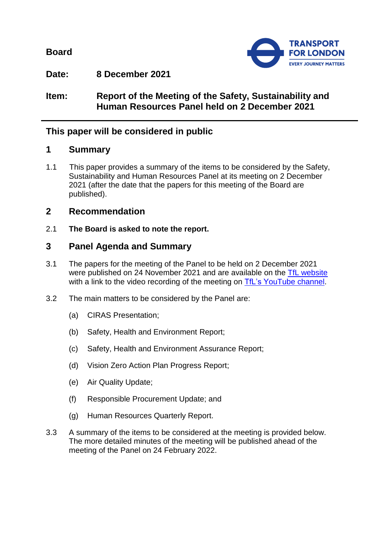**Board**



**Date: 8 December 2021**

**Item: Report of the Meeting of the Safety, Sustainability and Human Resources Panel held on 2 December 2021**

# **This paper will be considered in public**

## **1 Summary**

1.1 This paper provides a summary of the items to be considered by the Safety, Sustainability and Human Resources Panel at its meeting on 2 December 2021 (after the date that the papers for this meeting of the Board are published).

## **2 Recommendation**

2.1 **The Board is asked to note the report.**

## **3 Panel Agenda and Summary**

- 3.1 The papers for the meeting of the Panel to be held on 2 December 2021 were published on 24 November 2021 and are available on the [TfL website](https://board.tfl.gov.uk/uuCoverPage.aspx?bcr=1) with a link to the video recording of the meeting on [TfL's YouTube](https://www.youtube.com/playlist?list=PLtnlusA0Zoggk4qvN68OcnD9k_7B8cY_d) channel.
- 3.2 The main matters to be considered by the Panel are:
	- (a) CIRAS Presentation;
	- (b) Safety, Health and Environment Report;
	- (c) Safety, Health and Environment Assurance Report;
	- (d) Vision Zero Action Plan Progress Report;
	- (e) Air Quality Update;
	- (f) Responsible Procurement Update; and
	- (g) Human Resources Quarterly Report.
- 3.3 A summary of the items to be considered at the meeting is provided below. The more detailed minutes of the meeting will be published ahead of the meeting of the Panel on 24 February 2022.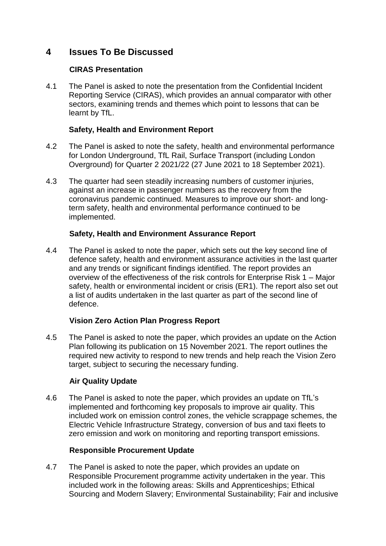# **4 Issues To Be Discussed**

## **CIRAS Presentation**

4.1 The Panel is asked to note the presentation from the Confidential Incident Reporting Service (CIRAS), which provides an annual comparator with other sectors, examining trends and themes which point to lessons that can be learnt by TfL.

## **Safety, Health and Environment Report**

- 4.2 The Panel is asked to note the safety, health and environmental performance for London Underground, TfL Rail, Surface Transport (including London Overground) for Quarter 2 2021/22 (27 June 2021 to 18 September 2021).
- 4.3 The quarter had seen steadily increasing numbers of customer injuries, against an increase in passenger numbers as the recovery from the coronavirus pandemic continued. Measures to improve our short- and longterm safety, health and environmental performance continued to be implemented.

### **Safety, Health and Environment Assurance Report**

4.4 The Panel is asked to note the paper, which sets out the key second line of defence safety, health and environment assurance activities in the last quarter and any trends or significant findings identified. The report provides an overview of the effectiveness of the risk controls for Enterprise Risk 1 – Major safety, health or environmental incident or crisis (ER1). The report also set out a list of audits undertaken in the last quarter as part of the second line of defence.

## **Vision Zero Action Plan Progress Report**

4.5 The Panel is asked to note the paper, which provides an update on the Action Plan following its publication on 15 November 2021. The report outlines the required new activity to respond to new trends and help reach the Vision Zero target, subject to securing the necessary funding.

### **Air Quality Update**

4.6 The Panel is asked to note the paper, which provides an update on TfL's implemented and forthcoming key proposals to improve air quality. This included work on emission control zones, the vehicle scrappage schemes, the Electric Vehicle Infrastructure Strategy, conversion of bus and taxi fleets to zero emission and work on monitoring and reporting transport emissions.

### **Responsible Procurement Update**

4.7 The Panel is asked to note the paper, which provides an update on Responsible Procurement programme activity undertaken in the year. This included work in the following areas: Skills and Apprenticeships; Ethical Sourcing and Modern Slavery; Environmental Sustainability; Fair and inclusive